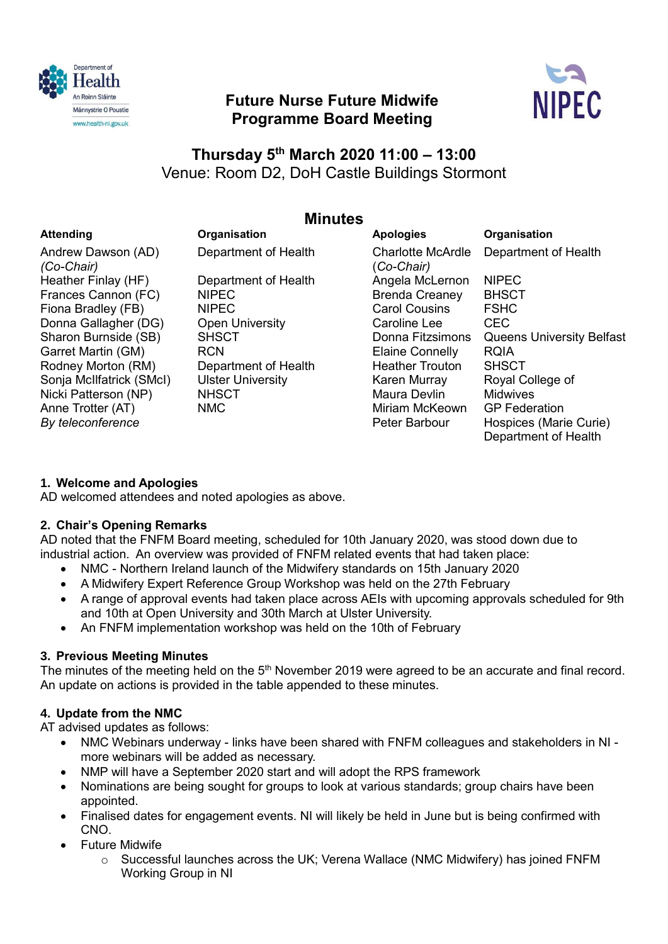

# **Future Nurse Future Midwife Programme Board Meeting**



# **Thursday 5th March 2020 11:00 – 13:00** Venue: Room D2, DoH Castle Buildings Stormont

# **Minutes**

## **Attending Organisation Apologies Organisation** Andrew Dawson (AD) *(Co-Chair)* Heather Finlay (HF) Frances Cannon (FC) Fiona Bradley (FB) Donna Gallagher (DG) Sharon Burnside (SB) Garret Martin (GM) Rodney Morton (RM) Sonja McIlfatrick (SMcI) Nicki Patterson (NP) Anne Trotter (AT) *By teleconference*

Department of Health Department of Health NIPEC NIPEC Open University **SHSCT RCN** Department of Health Ulster University **NHSCT** NMC

| <b>Apologies</b>                       | Organisation                     |
|----------------------------------------|----------------------------------|
| <b>Charlotte McArdle</b><br>(Co-Chair) | Department of Health             |
| Angela McLernon                        | <b>NIPEC</b>                     |
| <b>Brenda Creaney</b>                  | <b>BHSCT</b>                     |
| <b>Carol Cousins</b>                   | <b>FSHC</b>                      |
| Caroline Lee                           | CEC                              |
| Donna Fitzsimons                       | <b>Queens University Belfast</b> |
| <b>Elaine Connelly</b>                 | RQIA                             |
| <b>Heather Trouton</b>                 | <b>SHSCT</b>                     |
| Karen Murray                           | Royal College of                 |
| Maura Devlin                           | Midwives                         |
| Miriam McKeown                         | <b>GP</b> Federation             |
| Peter Barbour                          | Hospices (Marie Curie)           |
|                                        | Department of Health             |

# **1. Welcome and Apologies**

AD welcomed attendees and noted apologies as above.

# **2. Chair's Opening Remarks**

AD noted that the FNFM Board meeting, scheduled for 10th January 2020, was stood down due to industrial action. An overview was provided of FNFM related events that had taken place:

- NMC Northern Ireland launch of the Midwifery standards on 15th January 2020
- A Midwifery Expert Reference Group Workshop was held on the 27th February
- A range of approval events had taken place across AEIs with upcoming approvals scheduled for 9th and 10th at Open University and 30th March at Ulster University.
- An FNFM implementation workshop was held on the 10th of February

# **3. Previous Meeting Minutes**

The minutes of the meeting held on the  $5<sup>th</sup>$  November 2019 were agreed to be an accurate and final record. An update on actions is provided in the table appended to these minutes.

# **4. Update from the NMC**

AT advised updates as follows:

- NMC Webinars underway links have been shared with FNFM colleagues and stakeholders in NI more webinars will be added as necessary.
- NMP will have a September 2020 start and will adopt the RPS framework
- Nominations are being sought for groups to look at various standards; group chairs have been appointed.
- Finalised dates for engagement events. NI will likely be held in June but is being confirmed with CNO.
- Future Midwife
	- $\circ$  Successful launches across the UK; Verena Wallace (NMC Midwifery) has joined FNFM Working Group in NI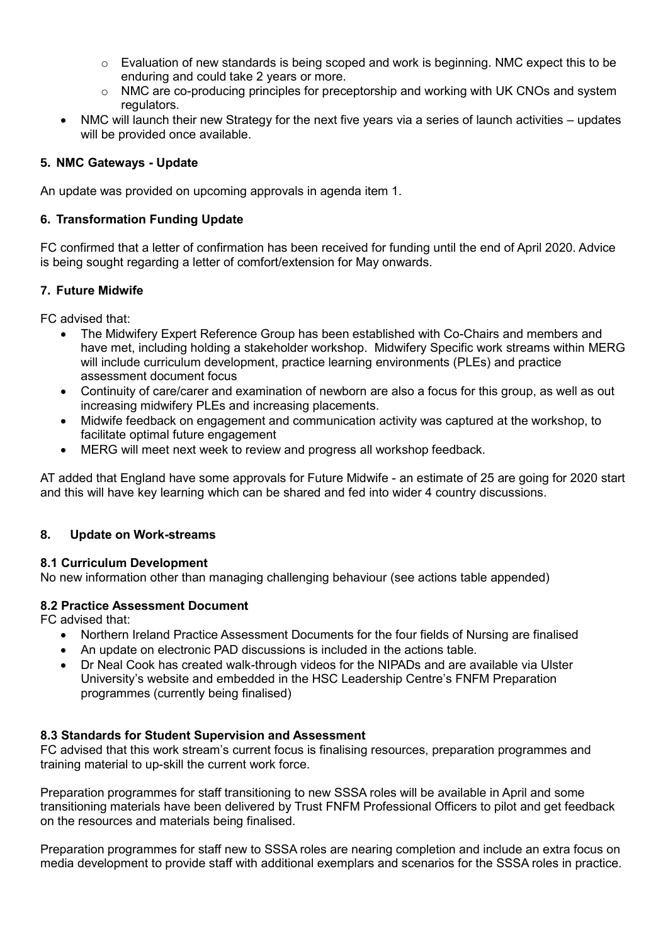- $\circ$  Evaluation of new standards is being scoped and work is beginning. NMC expect this to be enduring and could take 2 years or more.
- $\circ$  NMC are co-producing principles for preceptorship and working with UK CNOs and system regulators.
- NMC will launch their new Strategy for the next five years via a series of launch activities updates will be provided once available.

## **5. NMC Gateways - Update**

An update was provided on upcoming approvals in agenda item 1.

## **6. Transformation Funding Update**

FC confirmed that a letter of confirmation has been received for funding until the end of April 2020. Advice is being sought regarding a letter of comfort/extension for May onwards.

## **7. Future Midwife**

FC advised that:

- The Midwifery Expert Reference Group has been established with Co-Chairs and members and have met, including holding a stakeholder workshop. Midwifery Specific work streams within MERG will include curriculum development, practice learning environments (PLEs) and practice assessment document focus
- Continuity of care/carer and examination of newborn are also a focus for this group, as well as out increasing midwifery PLEs and increasing placements.
- Midwife feedback on engagement and communication activity was captured at the workshop, to facilitate optimal future engagement
- MERG will meet next week to review and progress all workshop feedback.

AT added that England have some approvals for Future Midwife - an estimate of 25 are going for 2020 start and this will have key learning which can be shared and fed into wider 4 country discussions.

## **8. Update on Work-streams**

## **8.1 Curriculum Development**

No new information other than managing challenging behaviour (see actions table appended)

## **8.2 Practice Assessment Document**

FC advised that:

- Northern Ireland Practice Assessment Documents for the four fields of Nursing are finalised
- An update on electronic PAD discussions is included in the actions table.
- Dr Neal Cook has created walk-through videos for the NIPADs and are available via Ulster University's website and embedded in the HSC Leadership Centre's FNFM Preparation programmes (currently being finalised)

## **8.3 Standards for Student Supervision and Assessment**

FC advised that this work stream's current focus is finalising resources, preparation programmes and training material to up-skill the current work force.

Preparation programmes for staff transitioning to new SSSA roles will be available in April and some transitioning materials have been delivered by Trust FNFM Professional Officers to pilot and get feedback on the resources and materials being finalised.

Preparation programmes for staff new to SSSA roles are nearing completion and include an extra focus on media development to provide staff with additional exemplars and scenarios for the SSSA roles in practice.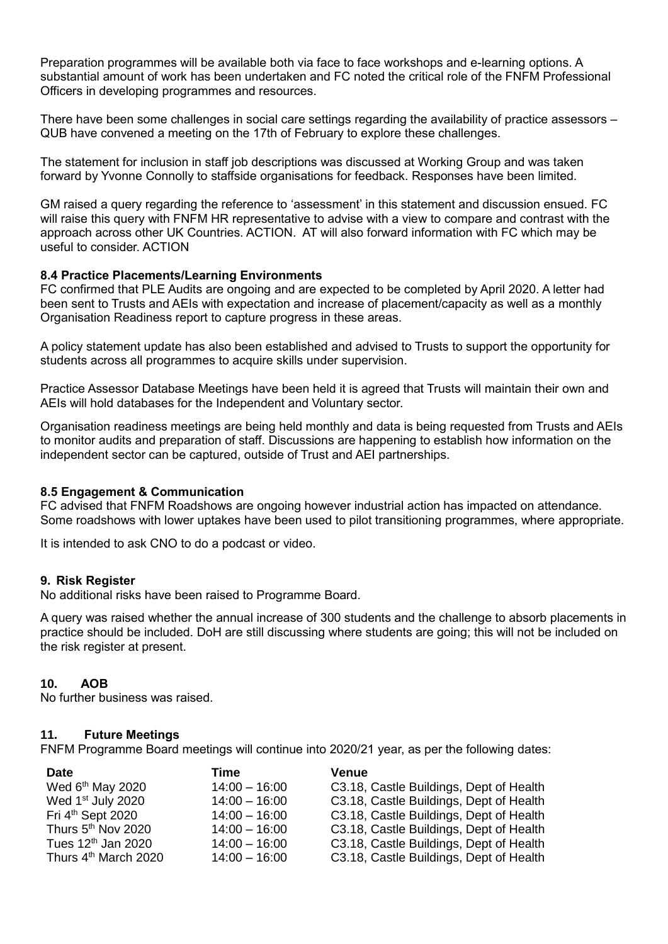Preparation programmes will be available both via face to face workshops and e-learning options. A substantial amount of work has been undertaken and FC noted the critical role of the FNFM Professional Officers in developing programmes and resources.

There have been some challenges in social care settings regarding the availability of practice assessors – QUB have convened a meeting on the 17th of February to explore these challenges.

The statement for inclusion in staff job descriptions was discussed at Working Group and was taken forward by Yvonne Connolly to staffside organisations for feedback. Responses have been limited.

GM raised a query regarding the reference to 'assessment' in this statement and discussion ensued. FC will raise this query with FNFM HR representative to advise with a view to compare and contrast with the approach across other UK Countries. ACTION. AT will also forward information with FC which may be useful to consider. ACTION

#### **8.4 Practice Placements/Learning Environments**

FC confirmed that PLE Audits are ongoing and are expected to be completed by April 2020. A letter had been sent to Trusts and AEIs with expectation and increase of placement/capacity as well as a monthly Organisation Readiness report to capture progress in these areas.

A policy statement update has also been established and advised to Trusts to support the opportunity for students across all programmes to acquire skills under supervision.

Practice Assessor Database Meetings have been held it is agreed that Trusts will maintain their own and AEIs will hold databases for the Independent and Voluntary sector.

Organisation readiness meetings are being held monthly and data is being requested from Trusts and AEIs to monitor audits and preparation of staff. Discussions are happening to establish how information on the independent sector can be captured, outside of Trust and AEI partnerships.

#### **8.5 Engagement & Communication**

FC advised that FNFM Roadshows are ongoing however industrial action has impacted on attendance. Some roadshows with lower uptakes have been used to pilot transitioning programmes, where appropriate.

It is intended to ask CNO to do a podcast or video.

#### **9. Risk Register**

No additional risks have been raised to Programme Board.

A query was raised whether the annual increase of 300 students and the challenge to absorb placements in practice should be included. DoH are still discussing where students are going; this will not be included on the risk register at present.

#### **10. AOB**

No further business was raised.

#### **11. Future Meetings**

FNFM Programme Board meetings will continue into 2020/21 year, as per the following dates:

| <b>Date</b>                      | Time            | Venue                                   |
|----------------------------------|-----------------|-----------------------------------------|
| Wed 6 <sup>th</sup> May 2020     | $14:00 - 16:00$ | C3.18, Castle Buildings, Dept of Health |
| Wed 1 <sup>st</sup> July 2020    | $14:00 - 16:00$ | C3.18, Castle Buildings, Dept of Health |
| Fri 4 <sup>th</sup> Sept 2020    | $14:00 - 16:00$ | C3.18, Castle Buildings, Dept of Health |
| Thurs 5 <sup>th</sup> Nov 2020   | $14:00 - 16:00$ | C3.18, Castle Buildings, Dept of Health |
| Tues 12 <sup>th</sup> Jan 2020   | $14:00 - 16:00$ | C3.18, Castle Buildings, Dept of Health |
| Thurs 4 <sup>th</sup> March 2020 | $14:00 - 16:00$ | C3.18, Castle Buildings, Dept of Health |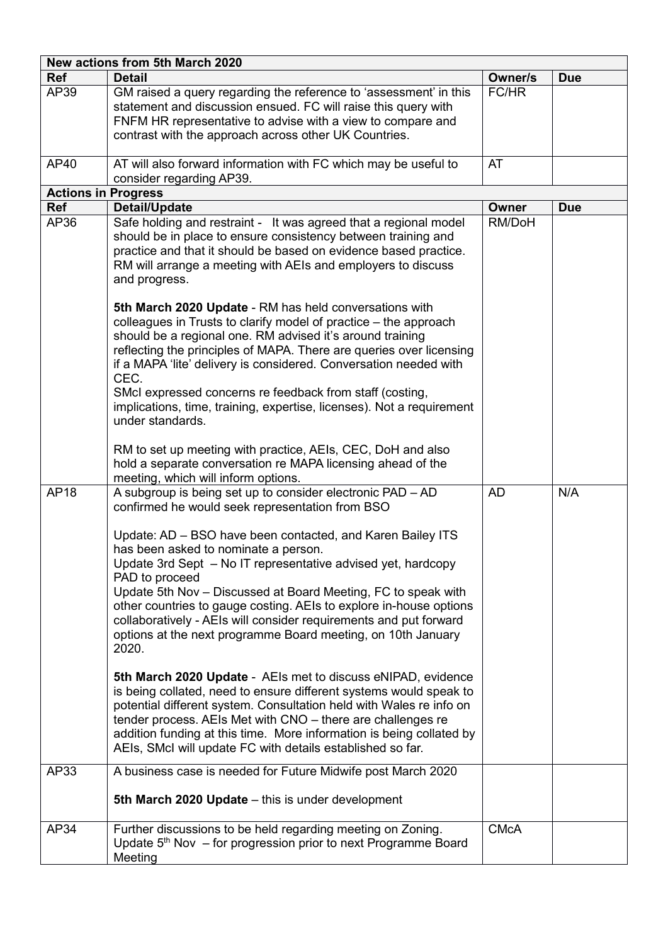| New actions from 5th March 2020 |                                                                                                                                                                                                                                                                                                                                                                                                                                                                                                                                                                                                                                                                                                                                                                                                                                                                                                                                                                                                              |             |            |  |  |  |
|---------------------------------|--------------------------------------------------------------------------------------------------------------------------------------------------------------------------------------------------------------------------------------------------------------------------------------------------------------------------------------------------------------------------------------------------------------------------------------------------------------------------------------------------------------------------------------------------------------------------------------------------------------------------------------------------------------------------------------------------------------------------------------------------------------------------------------------------------------------------------------------------------------------------------------------------------------------------------------------------------------------------------------------------------------|-------------|------------|--|--|--|
| <b>Ref</b>                      | <b>Detail</b>                                                                                                                                                                                                                                                                                                                                                                                                                                                                                                                                                                                                                                                                                                                                                                                                                                                                                                                                                                                                | Owner/s     | <b>Due</b> |  |  |  |
| AP39                            | GM raised a query regarding the reference to 'assessment' in this<br>statement and discussion ensued. FC will raise this query with<br>FNFM HR representative to advise with a view to compare and<br>contrast with the approach across other UK Countries.                                                                                                                                                                                                                                                                                                                                                                                                                                                                                                                                                                                                                                                                                                                                                  | FC/HR       |            |  |  |  |
| AP40                            | AT will also forward information with FC which may be useful to<br>consider regarding AP39.                                                                                                                                                                                                                                                                                                                                                                                                                                                                                                                                                                                                                                                                                                                                                                                                                                                                                                                  | AT          |            |  |  |  |
| <b>Actions in Progress</b>      |                                                                                                                                                                                                                                                                                                                                                                                                                                                                                                                                                                                                                                                                                                                                                                                                                                                                                                                                                                                                              |             |            |  |  |  |
| <b>Ref</b>                      | <b>Detail/Update</b>                                                                                                                                                                                                                                                                                                                                                                                                                                                                                                                                                                                                                                                                                                                                                                                                                                                                                                                                                                                         | Owner       | <b>Due</b> |  |  |  |
| AP36                            | Safe holding and restraint - It was agreed that a regional model<br>should be in place to ensure consistency between training and<br>practice and that it should be based on evidence based practice.<br>RM will arrange a meeting with AEIs and employers to discuss<br>and progress.<br>5th March 2020 Update - RM has held conversations with                                                                                                                                                                                                                                                                                                                                                                                                                                                                                                                                                                                                                                                             | RM/DoH      |            |  |  |  |
|                                 | colleagues in Trusts to clarify model of practice - the approach<br>should be a regional one. RM advised it's around training<br>reflecting the principles of MAPA. There are queries over licensing<br>if a MAPA 'lite' delivery is considered. Conversation needed with<br>CEC.<br>SMcI expressed concerns re feedback from staff (costing,<br>implications, time, training, expertise, licenses). Not a requirement<br>under standards.                                                                                                                                                                                                                                                                                                                                                                                                                                                                                                                                                                   |             |            |  |  |  |
|                                 | RM to set up meeting with practice, AEIs, CEC, DoH and also<br>hold a separate conversation re MAPA licensing ahead of the<br>meeting, which will inform options.                                                                                                                                                                                                                                                                                                                                                                                                                                                                                                                                                                                                                                                                                                                                                                                                                                            |             |            |  |  |  |
| <b>AP18</b>                     | A subgroup is being set up to consider electronic PAD - AD<br>confirmed he would seek representation from BSO<br>Update: AD - BSO have been contacted, and Karen Bailey ITS<br>has been asked to nominate a person.<br>Update 3rd Sept - No IT representative advised yet, hardcopy<br>PAD to proceed<br>Update 5th Nov - Discussed at Board Meeting, FC to speak with<br>other countries to gauge costing. AEIs to explore in-house options<br>collaboratively - AEIs will consider requirements and put forward<br>options at the next programme Board meeting, on 10th January<br>2020.<br>5th March 2020 Update - AEIs met to discuss eNIPAD, evidence<br>is being collated, need to ensure different systems would speak to<br>potential different system. Consultation held with Wales re info on<br>tender process. AEIs Met with CNO - there are challenges re<br>addition funding at this time. More information is being collated by<br>AEIs, SMcI will update FC with details established so far. | <b>AD</b>   | N/A        |  |  |  |
| AP33                            | A business case is needed for Future Midwife post March 2020<br>5th March 2020 Update - this is under development                                                                                                                                                                                                                                                                                                                                                                                                                                                                                                                                                                                                                                                                                                                                                                                                                                                                                            |             |            |  |  |  |
| AP34                            | Further discussions to be held regarding meeting on Zoning.<br>Update 5 <sup>th</sup> Nov - for progression prior to next Programme Board<br>Meeting                                                                                                                                                                                                                                                                                                                                                                                                                                                                                                                                                                                                                                                                                                                                                                                                                                                         | <b>CMcA</b> |            |  |  |  |